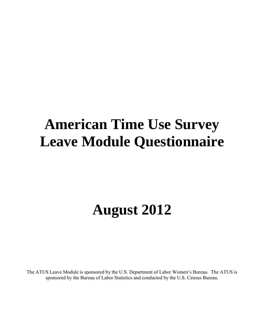## **American Time Use Survey Leave Module Questionnaire**

# **August 2012**

The ATUS Leave Module is sponsored by the U.S. Department of Labor Women's Bureau. The ATUS is sponsored by the Bureau of Labor Statistics and conducted by the U.S. Census Bureau.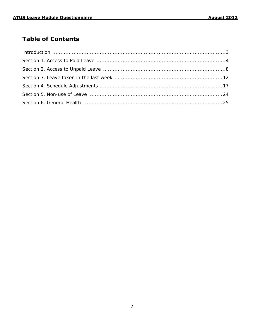## **Table of Contents**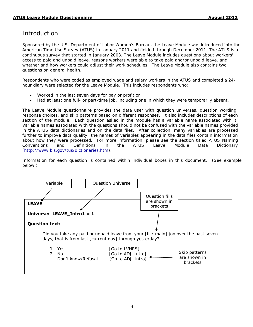## Introduction

Sponsored by the U.S. Department of Labor Women's Bureau, the Leave Module was introduced into the American Time Use Survey (ATUS) in January 2011 and fielded through December 2011. The ATUS is a continuous survey that started in January 2003. The Leave Module includes questions about workers' access to paid and unpaid leave, reasons workers were able to take paid and/or unpaid leave, and whether and how workers could adjust their work schedules. The Leave Module also contains two questions on general health.

Respondents who were coded as employed wage and salary workers in the ATUS and completed a 24 hour diary were selected for the Leave Module. This includes respondents who:

- Worked in the last seven days for pay or profit or
- Had at least one full- or part-time job, including one in which they were temporarily absent.

The Leave Module questionnaire provides the data user with question universes, question wording, response choices, and skip patterns based on different responses. It also includes descriptions of each section of the module. Each question asked in the module has a variable name associated with it. Variable names associated with the questions should not be confused with the variable names provided in the ATUS data dictionaries and on the data files. After collection, many variables are processed further to improve data quality; the names of variables appearing in the data files contain information about how they were processed. For more information, please see the section titled ATUS Naming Conventions and Definitions in the ATUS Leave Module Data Dictionary [\(http://www.bls.gov/tus/dictionaries.htm\)](http://www.bls.gov/tus/dictionaries.htm).

Information for each question is contained within individual boxes in this document. (See example below.)

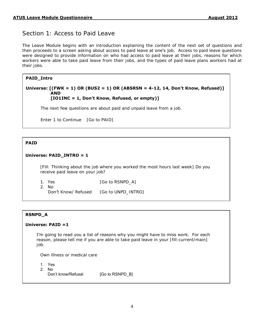## Section 1: Access to Paid Leave

The Leave Module begins with an introduction explaining the content of the next set of questions and then proceeds to a screen asking about access to paid leave at one's job. Access to paid leave questions were designed to provide information on who had access to paid leave at their jobs, reasons for which workers were able to take paid leave from their jobs, and the types of paid leave plans workers had at their jobs.

#### **PAID\_Intro**

#### **Universe: [(FWK = 1) OR (BUS2 = 1) OR (ABSRSN = 4-12, 14, Don't Know, Refused)] AND [IO1INC = 1, Don't Know, Refused, or empty)]**

#### The next few questions are about paid and unpaid leave from a job.

Enter 1 to Continue [Go to PAID]

#### **PAID**

 $\overline{\phantom{a}}$  $\overline{\phantom{a}}$ 

#### **Universe: PAID\_INTRO = 1**

[Fill: Thinking about the job where you worked the most hours last week] Do you receive paid leave on your job?

2. No

1. Yes [Go to RSNPD\_A]

Don't Know/ Refused [Go to UNPD\_INTRO]

#### **RSNPD\_A**

#### **Universe: PAID =1**

I'm going to read you a list of reasons why you might have to miss work. For each reason, please tell me if you are able to take paid leave in your [fill:current/main] job.

Own illness or medical care

- 1. Yes
- 2. No
- Don't know/Refusal [Go to RSNPD\_B]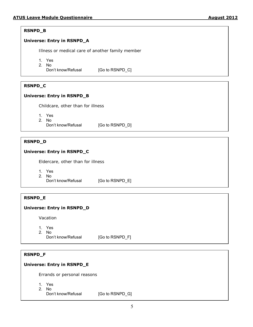## **RSNPD\_B**

## **Universe: Entry in RSNPD\_A**

Illness or medical care of another family member

- 1. Yes
- 2. No
	- Don't know/Refusal [Go to RSNPD\_C]

#### **RSNPD\_C**

#### **Universe: Entry in RSNPD\_B**

Childcare, other than for illness

- 1. Yes
- 2. No
	- Don't know/Refusal [Go to RSNPD\_D]

#### **RSNPD\_D**

#### **Universe: Entry in RSNPD\_C**

Eldercare, other than for illness

- 1. Yes
- 
- 2. No<br>Don't know/Refusal [Go to RSNPD\_E]

#### **RSNPD\_E**

#### **Universe: Entry in RSNPD\_D**

Vacation

- 1. Yes
- 2. No

Don't know/Refusal [Go to RSNPD\_F]

#### **RSNPD\_F**

#### **Universe: Entry in RSNPD\_E**

Errands or personal reasons

- 1. Yes
- 2. No
	- Don't know/Refusal [Go to RSNPD\_G]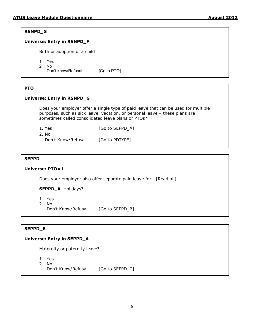#### **RSNPD\_G**

#### **Universe: Entry in RSNPD\_F**

Birth or adoption of a child

- 1. Yes
- 2. No

Don't know/Refusal [Go to PTO]

#### **PTO**

#### **Universe: Entry in RSNPD\_G**

Does your employer offer a single type of paid leave that can be used for multiple purposes, such as sick leave, vacation, or personal leave – these plans are sometimes called consolidated leave plans or PTOs?

- 1. Yes [Go to SEPPD\_A]
	- 2. No

Don't Know/Refusal [Go to PDTYPE]

#### **SEPPD**

#### **Universe: PTO=1**

Does your employer also offer separate paid leave for… [Read all]

**SEPPD\_A** Holidays?

- 1. Yes
- 2. No

Don't Know/Refusal [Go to SEPPD\_B]

#### **SEPPD\_B**

#### **Universe: Entry in SEPPD\_A**

Maternity or paternity leave?

- 1. Yes
- 2. No
	- Don't Know/Refusal [Go to SEPPD\_C]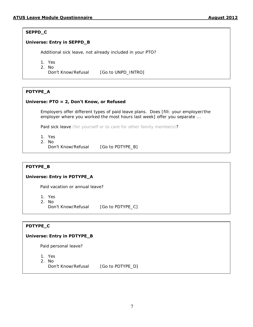#### **SEPPD\_C**

#### **Universe: Entry in SEPPD\_B**

Additional sick leave, not already included in your PTO?

- 1. Yes
- 2. No

Don't Know/Refusal [Go to UNPD\_INTRO]

#### **PDTYPE\_A**

#### **Universe: PTO = 2, Don't Know, or Refused**

Employers offer different types of paid leave plans. Does [fill: your employer/the employer where you worked the most hours last week] offer you separate ...

Paid sick leave (for yourself or to care for other family members)?

- 1. Yes
- 2. No
- Don't Know/Refusal [Go to PDTYPE\_B]

#### **PDTYPE\_B**

#### **Universe: Entry in PDTYPE\_A**

Paid vacation or annual leave?

- 1. Yes
- 2. No
	- Don't Know/Refusal [Go to PDTYPE\_C]

#### **PDTYPE\_C**

#### **Universe: Entry in PDTYPE\_B**

Paid personal leave?

- 1. Yes
- 2. No
	- Don't Know/Refusal [Go to PDTYPE\_D]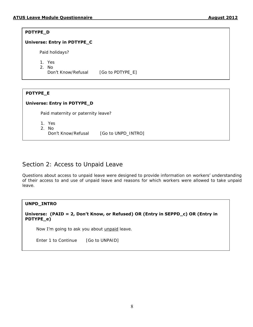#### **PDTYPE\_D**

#### **Universe: Entry in PDTYPE\_C**

Paid holidays?

- 1. Yes
- 2. No

Don't Know/Refusal [Go to PDTYPE\_E]

#### **PDTYPE\_E**

#### **Universe: Entry in PDTYPE\_D**

Paid maternity or paternity leave?

- 1. Yes
- 2. No
- 

Don't Know/Refusal [Go to UNPD\_INTRO]

## Section 2: Access to Unpaid Leave

Questions about access to unpaid leave were designed to provide information on workers' understanding of their access to and use of unpaid leave and reasons for which workers were allowed to take unpaid leave.

#### **UNPD\_INTRO**

**Universe: (PAID = 2, Don't Know, or Refused) OR (Entry in SEPPD\_c) OR (Entry in PDTYPE\_e)**

Now I'm going to ask you about *unpaid* leave.

Enter 1 to Continue [Go to UNPAID]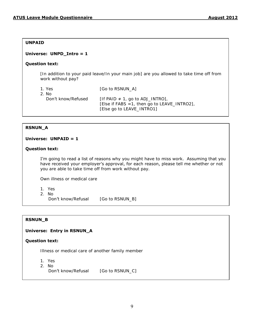#### **UNPAID**

#### **Universe: UNPD\_Intro = 1**

#### **Question text:**

[In addition to your paid leave/In your main job] are you allowed to take time off from work without pay?

| 1. Yes<br>2. No.   | [Go to RSNUN A]                                                                                                      |
|--------------------|----------------------------------------------------------------------------------------------------------------------|
| Don't know/Refused | $[$ If PAID $\neq$ 1, go to ADJ_INTRO],<br>[Else if FABS = 1, then go to LEAVE_INTRO2],<br>[Else go to LEAVE_INTRO1] |

#### **RSNUN\_A**

#### **Universe: UNPAID = 1**

#### **Question text:**

I'm going to read a list of reasons why you might have to miss work. Assuming that you have received your employer's approval, for each reason, please tell me whether or not you are able to take time off from work without pay.

Own illness or medical care

- 1. Yes
- 2. No

Don't know/Refusal [Go to RSNUN\_B]

#### **RSNUN\_B**

#### **Universe: Entry in RSNUN\_A**

#### **Question text:**

Illness or medical care of another family member

- 1. Yes
- 2. No
	- Don't know/Refusal [Go to RSNUN\_C]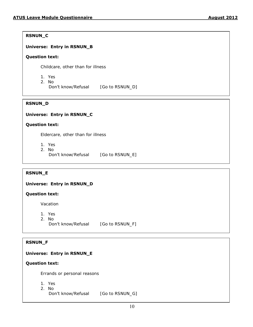#### **RSNUN\_C**

#### **Universe: Entry in RSNUN\_B**

#### **Question text:**

Childcare, other than for illness

- 1. Yes
- 2. No
	- Don't know/Refusal [Go to RSNUN\_D]

#### **RSNUN\_D**

#### **Universe: Entry in RSNUN\_C**

#### **Question text:**

Eldercare, other than for illness

- 1. Yes
- 2. No
	- Don't know/Refusal [Go to RSNUN\_E]

#### **RSNUN\_E**

#### **Universe: Entry in RSNUN\_D**

#### **Question text:**

Vacation

- 1. Yes
- 2. No
	- Don't know/Refusal [Go to RSNUN\_F]

#### **RSNUN\_F**

#### **Universe: Entry in RSNUN\_E**

#### **Question text:**

Errands or personal reasons

- 1. Yes
- 2. No
	- Don't know/Refusal [Go to RSNUN\_G]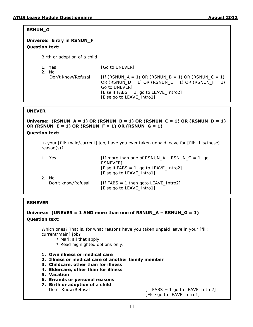#### **RSNUN\_G**

## **Universe: Entry in RSNUN\_F Question text:**

Birth or adoption of a child

1. Yes [Go to UNEVER]

| - No               |                                                        |
|--------------------|--------------------------------------------------------|
| Don't know/Refusal | $[$ If (RSNUN_A = 1) OR (RSNUN_B = 1) OR (RSNUN_C = 1) |
|                    | OR (RSNUN_D = 1) OR (RSNUN_E = 1) OR (RSNUN_F = 1),    |
|                    | Go to UNEVER]                                          |
|                    | [Else if FABS = 1, go to LEAVE_Intro2]                 |
|                    | [Else go to LEAVE_Intro1]                              |
|                    |                                                        |

#### **UNEVER**

**Universe: (RSNUN\_A = 1) OR (RSNUN\_B = 1) OR (RSNUN\_C = 1) OR (RSNUN\_D = 1) OR (RSNUN\_E = 1) OR (RSNUN\_F = 1) OR (RSNUN\_G = 1)**

#### **Question text:**

In your [fill: main/current] job, have you ever taken unpaid leave for [fill: this/these] reason(s)?

| <b>1.</b> Yes<br>No. | [If more than one of RSNUN_A – RSNUN_G = 1, go<br>RSNEVER]<br>$[Else if FABS = 1, go to LEAVE_Intro2]$<br>[Else go to LEAVE_Intro1] |
|----------------------|-------------------------------------------------------------------------------------------------------------------------------------|
| Don't know/Refusal   | $[$ If FABS = 1 then goto LEAVE_Intro2]<br>[Else go to LEAVE_Intro1]                                                                |

#### **RSNEVER**

#### **Universe: (UNEVER = 1 AND more than one of RSNUN\_A – RSNUN\_G = 1) Question text:**

Which ones? That is, for what reasons have you taken unpaid leave in your [fill: current/main] job?

- \* Mark all that apply.
- \* Read highlighted options only.
- **1. Own illness or medical care**
- **2. Illness or medical care of another family member**
- **3. Childcare, other than for illness**
- **4. Eldercare, other than for illness**
- **5. Vacation**
- **6. Errands or personal reasons**
- **7. Birth or adoption of a child**

 $Don't Know/Refusal$  [If FABS = 1 go to LEAVE\_Intro2] [Else go to LEAVE\_Intro1]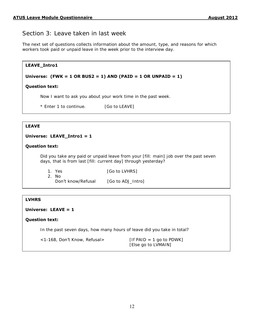## Section 3: Leave taken in last week

The next set of questions collects information about the amount, type, and reasons for which workers took paid or unpaid leave in the week prior to the interview day.

| LEAVE_Intro1                                                                                                                                           |                                                                                           |  |  |
|--------------------------------------------------------------------------------------------------------------------------------------------------------|-------------------------------------------------------------------------------------------|--|--|
|                                                                                                                                                        | Universe: $(FWK = 1 \text{ OR } BUS2 = 1) \text{ AND } (PAID = 1 \text{ OR } UNPAID = 1)$ |  |  |
| <b>Question text:</b>                                                                                                                                  |                                                                                           |  |  |
|                                                                                                                                                        | Now I want to ask you about your work time in the past week.                              |  |  |
| * Enter 1 to continue. [Go to LEAVE]                                                                                                                   |                                                                                           |  |  |
|                                                                                                                                                        |                                                                                           |  |  |
| <b>LEAVE</b>                                                                                                                                           |                                                                                           |  |  |
| Universe: LEAVE_Intro1 = 1                                                                                                                             |                                                                                           |  |  |
| <b>Question text:</b>                                                                                                                                  |                                                                                           |  |  |
| Did you take any paid or unpaid leave from your [fill: main] job over the past seven<br>days, that is from last [fill: current day] through yesterday? |                                                                                           |  |  |
| 1. Yes<br>$2.$ No                                                                                                                                      | [Go to LVHRS]                                                                             |  |  |
| Don't know/Refusal                                                                                                                                     | [Go to ADJ_Intro]                                                                         |  |  |

#### **LVHRS**

#### **Universe: LEAVE = 1**

#### **Question text:**

In the past seven days, how many hours of leave did you take in total?

| $<$ 1-168, Don't Know, Refusal> | $[$ If PAID = 1 go to PDWK] |
|---------------------------------|-----------------------------|
|                                 | [Else go to LVMAIN]         |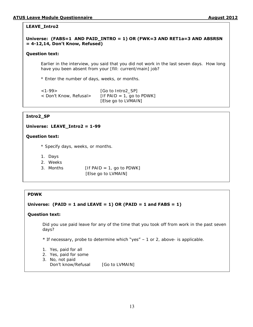#### **LEAVE\_Intro2**

#### **Universe: (FABS=1 AND PAID\_INTRO = 1) OR (FWK=3 AND RET1a=3 AND ABSRSN = 4-12,14, Don't Know, Refused)**

#### **Question text:**

Earlier in the interview, you said that you did not work in the last seven days. How long have you been absent from your [fill: current/main] job?

\* Enter the number of days, weeks, or months.

| $<1-99>$               | [Go to Intro2 SP]            |
|------------------------|------------------------------|
| < Don't Know, Refusal> | $[$ If PAID = 1, go to PDWK] |
|                        | [Else go to LVMAIN]          |

#### **Intro2\_SP**

#### **Universe: LEAVE\_Intro2 = 1-99**

#### **Question text:**

- \* Specify days, weeks, or months.
- 1. Days
- 2. Weeks
- 3. Months  $[If PAID = 1, go to PDWK]$

[Else go to LVMAIN]

#### **PDWK**

#### **Universe: (PAID = 1 and LEAVE = 1) OR (PAID = 1 and FABS = 1)**

#### **Question text:**

Did you use paid leave for any of the time that you took off from work in the past seven days?

\* If necessary, probe to determine which "yes" – 1 or 2, above- is applicable.

- 1. Yes, paid for all
- 2. Yes, paid for some
- 3. No, not paid
	- Don't know/Refusal [Go to LVMAIN]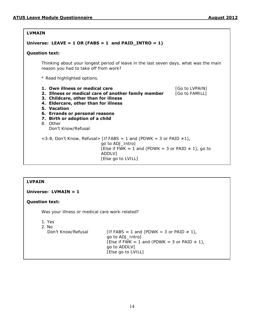#### **LVMAIN**

#### **Universe: LEAVE = 1 OR (FABS = 1 and PAID\_INTRO = 1)**

#### **Question text:**

Thinking about your longest period of leave in the last seven days, what was the main reason you had to take off from work?

\* Read highlighted options.

- **1. Own illness or medical care 1. Community 1. Community 1. Community 1. Community 1. Community 1. Community 1. Community 1. Community 1. Community 1. Community 1. Community 1. Community 1. Community 1. Community 1. Com 2. Illness or medical care of another family member** [Go to FAMILL]
- **3. Childcare, other than for illness**
- **4. Eldercare, other than for illness**
- **5. Vacation**
- **6. Errands or personal reasons**
- **7. Birth or adoption of a child**
- 8. Other Don't Know/Refusal  $<$ 3-8, Don't Know, Refusal> [If FABS = 1 and (PDWK = 3 or PAID  $\neq$ 1), go to ADJ\_Intro] [Else if FWK = 1 and (PDWK = 3 or PAID  $\neq$  1), go to ADDLV] [Else go to LVILL]

#### **LVPAIN**

**Universe: LVMAIN = 1**

#### **Question text:**

Was your illness or medical care work-related?

1. Yes

2. No

Don't Know/Refusal [If FABS = 1 and (PDWK = 3 or PAID  $\neq$  1), go to ADJ\_Intro] [Else if FWK = 1 and (PDWK = 3 or **PAID**  $\neq$  **1)**, go to ADDLV] [Else go to LVILL]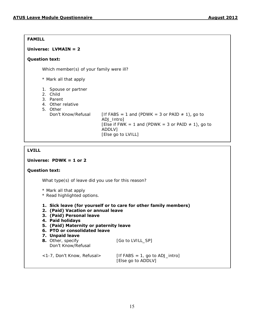#### **FAMILL**

#### **Universe: LVMAIN = 2**

#### **Question text:**

Which member(s) of your family were ill?

\* Mark all that apply

- 1. Spouse or partner
- 2. Child
- 3. Parent
- 4. Other relative
- 5. Other

Don't Know/Refusal [If FABS = 1 and (PDWK = 3 or PAID  $\neq$  1), go to ADJ\_Intro] [Else if FWK = 1 and (PDWK = 3 or PAID  $\neq$  1), go to ADDLV] [Else go to LVILL]

#### **LVILL**

#### **Universe: PDWK = 1 or 2**

#### **Question text:**

What type(s) of leave did you use for this reason?

- \* Mark all that apply
- \* Read highlighted options.
- **1. Sick leave (for yourself or to care for other family members)**
- **2. (Paid) Vacation or annual leave**
- **3. (Paid) Personal leave**
- **4. Paid holidays**
- **5. (Paid) Maternity or paternity leave**
- **6. PTO or consolidated leave**
- **7. Unpaid leave**

| 8. Other, specify<br>Don't Know/Refusal | [Go to LVILL_SP]                  |
|-----------------------------------------|-----------------------------------|
| <1-7, Don't Know, Refusal>              | $[$ If FABS = 1, go to ADJ_intro] |

[Else go to ADDLV]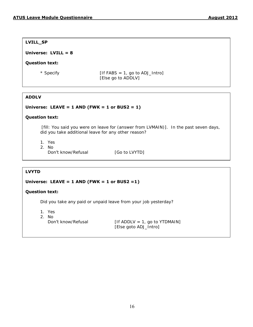**LVILL\_SP**

#### **Universe: LVILL = 8**

#### **Question text:**

 $*$  Specify [If FABS = 1, go to ADJ\_Intro] [Else go to ADDLV]

#### **ADDLV**

#### **Universe: LEAVE = 1 AND (FWK = 1 or BUS2 = 1)**

#### **Question text:**

[fill: You said you were on leave for (answer from LVMAIN)]. In the past seven days, did you take additional leave for any other reason?

- 1. Yes
- 2. No Don't know/Refusal [Go to LVYTD]

#### **LVYTD**

#### **Universe: LEAVE = 1 AND (FWK = 1 or BUS2 =1)**

#### **Question text:**

Did you take any paid or unpaid leave from your job yesterday?

- 1. Yes
- 2. No
	-

**Don't know**/Refusal  $[If ADDLV = 1, go to YTDMAIN]$ [Else goto ADJ\_Intro]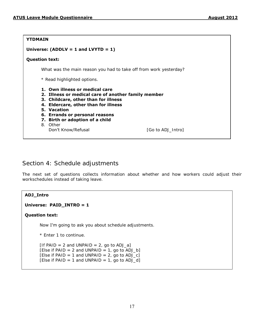#### **YTDMAIN**

#### **Universe: (ADDLV = 1 and LVYTD = 1)**

#### **Question text:**

What was the main reason you had to take off from work yesterday?

\* Read highlighted options.

**1. Own illness or medical care**

- **2. Illness or medical care of another family member**
- **3. Childcare, other than for illness**
- **4. Eldercare, other than for illness**
- **5. Vacation**
- **6. Errands or personal reasons**
- **7. Birth or adoption of a child**
- 8. Other

Don't Know/Refusal [Go to ADJ\_Intro]

## Section 4: Schedule adjustments

The next set of questions collects information about whether and how workers could adjust their workschedules instead of taking leave.

#### **ADJ\_Intro**

**Universe: PAID\_INTRO = 1**

#### **Question text:**

Now I'm going to ask you about schedule adjustments.

\* Enter 1 to continue.

 $[$ If PAID = 2 and UNPAID = 2, go to ADJ\_a] [Else if PAID = 2 and UNPAID = 1, go to ADJ\_b] [Else if PAID = 1 and UNPAID = 2, go to  $ADJ_c$ ] [Else if PAID = 1 and UNPAID = 1, go to  $ADJ_d$ ]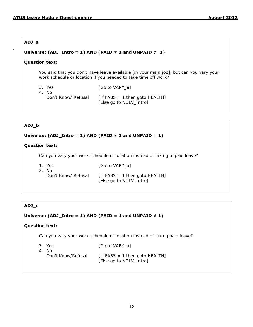#### **ADJ\_a**

.

#### Universe:  $(ADJ_Intro = 1)$  AND  $(PAID \neq 1$  and  $UNPAID \neq 1)$

#### **Question text:**

You said that you don't have leave available [in your main job], but can you vary your work schedule or location if you needed to take time off work?

| 3. Yes              | [Go to VARY a]                    |
|---------------------|-----------------------------------|
| 4. No               |                                   |
| Don't Know/ Refusal | $[$ If FABS = 1 then goto HEALTH] |
|                     | [Else go to NOLV_Intro]           |

#### **ADJ\_b**

#### Universe:  $(ADJ_Intro = 1)$  AND  $(PAID \neq 1$  and  $UNPAID = 1)$

#### **Question text:**

Can you vary your work schedule or location instead of taking unpaid leave?

| 1. Yes              | [Go to VARY a]                       |
|---------------------|--------------------------------------|
| 2. No.              |                                      |
| Don't Know/ Refusal | $[$ If FABS = 1 then goto HEALTH $]$ |
|                     | [Else go to NOLV_Intro]              |

#### **ADJ\_c**

#### Universe:  $(ADJ_Intro = 1)$  AND  $(PAID = 1$  and UNPAID  $\neq 1)$

#### **Question text:**

Can you vary your work schedule or location instead of taking paid leave?

| -3. Yes            | [Go to VARY a]                       |
|--------------------|--------------------------------------|
| 4. No.             |                                      |
| Don't Know/Refusal | $[$ If FABS = 1 then goto HEALTH $]$ |
|                    | [Else go to NOLV_Intro]              |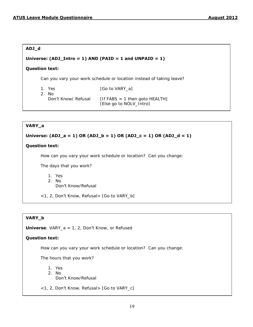#### **ADJ\_d**

#### **Universe: (ADJ\_Intro = 1) AND (PAID = 1 and UNPAID = 1)**

#### **Question text:**

Can you vary your work schedule or location instead of taking leave?

1. Yes [Go to VARY\_a]

2. No

**Don't Know**/ Refusal  $[If FABS = 1 then qoto HEALTH]$ [Else go to NOLV\_Intro]

#### **VARY\_a**

#### $\sec(AD1 - 1)$  O Universe: (ADJ\_a = 1) OR (ADJ\_b = 1) OR (ADJ\_c = 1) OR (ADJ\_d = 1)

#### **Question text:**

How can you vary your work schedule or location? Can you change:

The days that you work?

- 1. Yes
- 2. No

Don't Know/Refusal

<1, 2, Don't Know, Refusal> [Go to VARY\_b]

#### **VARY\_b**

**Universe**: VARY\_a = 1, 2, D**on't** Know, or Refused

#### $\mathbf{r}$  to the set  $\mathbf{r}$  is a set of  $\mathbf{r}$  and  $\mathbf{r}$  is a set of  $\mathbf{r}$  and  $\mathbf{r}$  is a set of  $\mathbf{r}$ **Question text:**

How can you vary your work schedule or location? Can you change:

The hours that you work?

- 1. Yes
- 2. No Don't Know/Refusal
- <1, 2, Don't Know, Refusal> [Go to VARY\_c]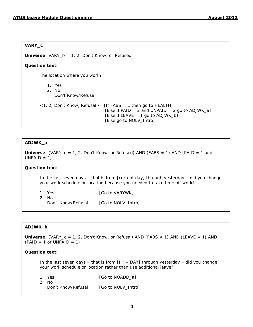#### **VARY\_c**

**Universe**: VARY b = 1, 2, Don't Know, or Refused

#### **Question text:**

The location where you work?

1. Yes 2. No Don't Know/Refusal

```
\langle 1, 2, 2 \rangle Don't Know, Refusal> [If FABS = 1 then go to HEALTH]
                    [Else if PAID = 2 and UNPAID = 2 go to ADJWK_a]
                    [Else if LEAVE = 1 go to ADJWK_b] [Else go to NOLV_Intro]
```
#### **ADJWK\_a**

**Universe**: (VARY  $c = 1$ , 2, Don't Know, or Refused) AND (FABS  $\neq$  1) AND (PAID  $\neq$  1 and UNPAID  $\neq$  1)

#### **Question text:**  $\overline{\phantom{a}}$  $\sum_{i=1}^{n}$   $\sum_{i=1}^{n}$   $\sum_{i=1}^{n}$   $\sum_{i=1}^{n}$   $\sum_{i=1}^{n}$   $\sum_{i=1}^{n}$   $\sum_{i=1}^{n}$   $\sum_{i=1}^{n}$   $\sum_{i=1}^{n}$   $\sum_{i=1}^{n}$   $\sum_{i=1}^{n}$   $\sum_{i=1}^{n}$   $\sum_{i=1}^{n}$   $\sum_{i=1}^{n}$   $\sum_{i=1}^{n}$   $\sum_{i=1}^{n}$   $\sum_{i=1}^{n}$

In the last seven days  $-$  that is from [current day] through yesterday  $-$  did you change your work schedule or location because you needed to take time off work?

2. No

1. Yes [Go to VARYWK]

Don't Know/Refusal [Go to NOLV Intro]

#### **ADJWK\_b**

**Universe**:  $(VARY C = 1, 2, Don't Know, or Refusal) AND (FABS  $\neq$  1) AND (LEAVE = 1) AND$  $(PAID = 1$  or UNPAID = 1)

#### **Question text:**

In the last seven days – that is from  $[fill =$  DAY $]$  through yesterday – did you change your work schedule or location rather than use additional leave?

1. Yes [Go to NOADD\_a] 2. No

Don't Know/Refusal [Go to NOLV\_Intro]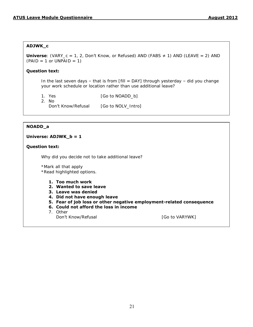#### **ADJWK\_c**

**Universe**: (VARY\_c = 1, 2, Don't Know, or Refused) AND (FABS ≠ 1) AND (LEAVE = 2) AND  $(PAID = 1 or UNPAID = 1)$ 

#### **Question text:**

In the last seven days – that is from  $[fill =$  DAY $]$  through yesterday – did you change your work schedule or location rather than use additional leave?

1. Yes [Go to NOADD\_b]

2. No Don't Know/Refusal [Go to NOLV\_Intro]

#### **NOADD\_a**

#### **Universe: ADJWK\_b = 1**

#### **Question text:**

Why did you decide not to take additional leave?

\*Mark all that apply \*Read highlighted options.

- **1. Too much work**
- **2. Wanted to save leave**
- **3. Leave was denied**
- **4. Did not have enough leave**
- **5. Fear of job loss or other negative employment-related consequence**
- **6. Could not afford the loss in income**
- 7. Other

Don't Know/Refusal and a set of the US of Go to VARYWK]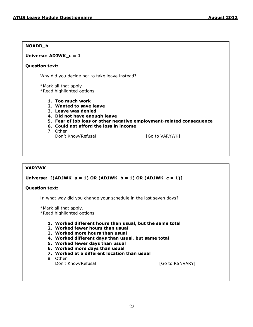#### **NOADD\_b**

#### **Universe**: **ADJWK\_c = 1**

#### **Question text:**

Why did you decide not to take leave instead?

\*Mark all that apply \*Read highlighted options.

- **1. Too much work**
- **2. Wanted to save leave**
- **3. Leave was denied**
- **4. Did not have enough leave**
- **5. Fear of job loss or other negative employment-related consequence**
- **6. Could not afford the loss in income**
- 7. Other
	- Don't Know/Refusal **Example 20** [Go to VARYWK]

#### **VARYWK**

#### **Universe: [(ADJWK\_a = 1) OR (ADJWK\_b = 1) OR (ADJWK\_c = 1)]**

#### **Question text:**

In what way did you change your schedule in the last seven days?

\*Mark all that apply.

\*Read highlighted options.

- **1. Worked different hours than usual, but the same total**
- **2. Worked fewer hours than usual**
- **3. Worked more hours than usual**
- **4. Worked different days than usual, but same total**
- **5. Worked fewer days than usual**
- **6. Worked more days than usual**
- **7. Worked at a different location than usual**
- 8. Other

Don't Know/Refusal and the control of Go to RSNVARY]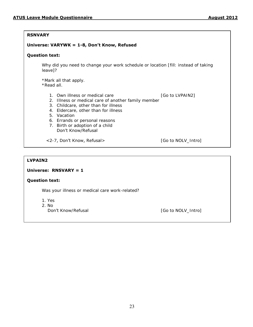#### **RSNVARY**

#### **Universe: VARYWK = 1-8, Don't Know, Refused**

#### **Question text:**

Why did you need to change your work schedule or location [fill: instead of taking leave]?

\*Mark all that apply. \*Read all.

- 1. Own illness or medical care [Go to LVPAIN2]
- 2. Illness or medical care of another family member
- 3. Childcare, other than for illness
- 4. Eldercare, other than for illness
- 5. Vacation
- 6. Errands or personal reasons
- 7. Birth or adoption of a child Don't Know/Refusal
- <2-7, Don't Know, Refusal> [Go to NOLV\_Intro]

#### **LVPAIN2**

#### **Universe: RNSVARY = 1**

#### **Question text:**

Was your illness or medical care work-related?

- 1. Yes
- 2. No
	- Don't Know/Refusal and the control of the Control Control [Go to NOLV\_Intro]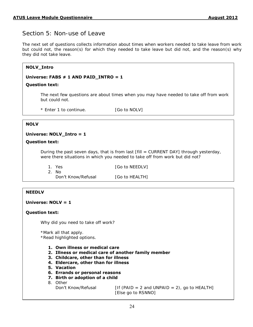## Section 5: Non-use of Leave

The next set of questions collects information about times when workers needed to take leave from work but could not, the reason(s) for which they needed to take leave but did not, and the reason(s) why they did not take leave.

| <b>NOLV_Intro</b>                                                                                       |  |
|---------------------------------------------------------------------------------------------------------|--|
| Universe: FABS $\neq$ 1 AND PAID_INTRO = 1                                                              |  |
| <b>Question text:</b>                                                                                   |  |
| The next few questions are about times when you may have needed to take off from work<br>but could not. |  |
| * Enter 1 to continue.<br>[Go to NOLV]                                                                  |  |
| <b>NOLV</b>                                                                                             |  |
|                                                                                                         |  |
| Universe: NOLV_Intro = 1                                                                                |  |
| <b>Question text:</b>                                                                                   |  |
| During the past seven days, that is from last [fill = CURRENT DAY] through yesterday,                   |  |

were there situations in which you needed to take off from work but did not?

| 1. Yes             | [Go to NEEDLV] |
|--------------------|----------------|
| 2. No              |                |
| Don't Know/Refusal | [Go to HEALTH] |

#### **NEEDLV**

#### **Universe: NOLV = 1**

#### **Question text:**

Why did you need to take off work?

\*Mark all that apply.

\*Read highlighted options.

- **1. Own illness or medical care**
- **2. Illness or medical care of another family member**
- **3. Childcare, other than for illness**
- **4. Eldercare, other than for illness**
- **5. Vacation**
- **6. Errands or personal reasons**
- **7. Birth or adoption of a child**

8. Other

**Don't Know/Refusal** [If (PAID = 2 and UNPAID = 2), go to HEALTH] [Else go to RSNNO]